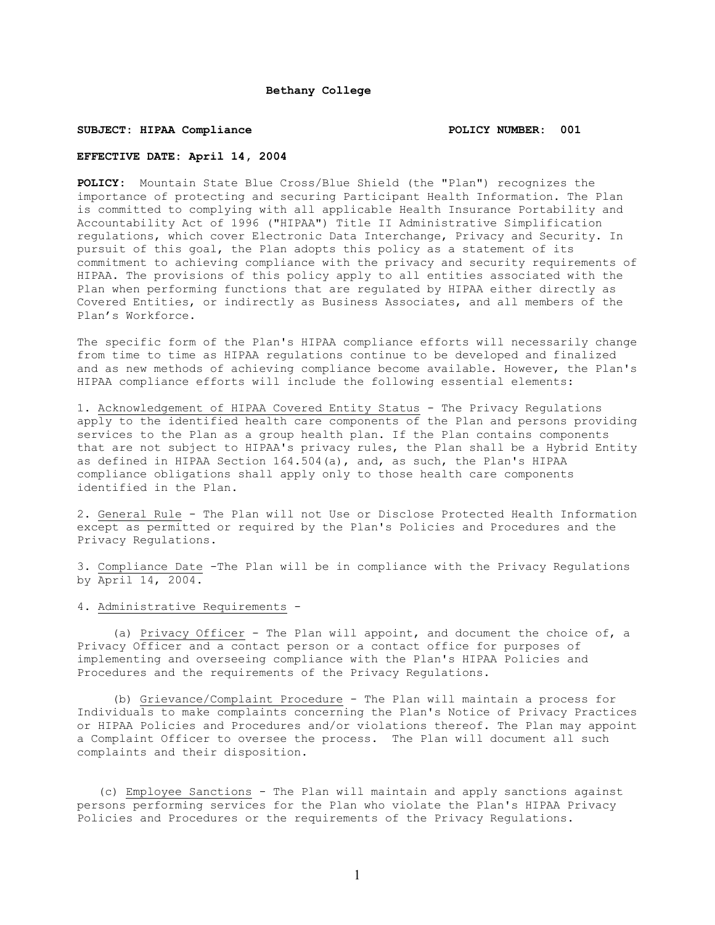**Bethany College** 

#### SUBJECT: HIPAA Compliance **POLICY NUMBER: 001**

## **EFFECTIVE DATE: April 14, 2004**

**POLICY:** Mountain State Blue Cross/Blue Shield (the "Plan") recognizes the importance of protecting and securing Participant Health Information. The Plan is committed to complying with all applicable Health Insurance Portability and Accountability Act of 1996 ("HIPAA") Title II Administrative Simplification regulations, which cover Electronic Data Interchange, Privacy and Security. In pursuit of this goal, the Plan adopts this policy as a statement of its commitment to achieving compliance with the privacy and security requirements of HIPAA. The provisions of this policy apply to all entities associated with the Plan when performing functions that are regulated by HIPAA either directly as Covered Entities, or indirectly as Business Associates, and all members of the Plan's Workforce.

The specific form of the Plan's HIPAA compliance efforts will necessarily change from time to time as HIPAA regulations continue to be developed and finalized and as new methods of achieving compliance become available. However, the Plan's HIPAA compliance efforts will include the following essential elements:

1. Acknowledgement of HIPAA Covered Entity Status - The Privacy Regulations apply to the identified health care components of the Plan and persons providing services to the Plan as a group health plan. If the Plan contains components that are not subject to HIPAA's privacy rules, the Plan shall be a Hybrid Entity as defined in HIPAA Section 164.504(a), and, as such, the Plan's HIPAA compliance obligations shall apply only to those health care components identified in the Plan.

2. General Rule - The Plan will not Use or Disclose Protected Health Information except as permitted or required by the Plan's Policies and Procedures and the Privacy Regulations.

3. Compliance Date -The Plan will be in compliance with the Privacy Regulations by April 14, 2004.

4. Administrative Requirements -

 (a) Privacy Officer - The Plan will appoint, and document the choice of, a Privacy Officer and a contact person or a contact office for purposes of implementing and overseeing compliance with the Plan's HIPAA Policies and Procedures and the requirements of the Privacy Regulations.

 (b) Grievance/Complaint Procedure - The Plan will maintain a process for Individuals to make complaints concerning the Plan's Notice of Privacy Practices or HIPAA Policies and Procedures and/or violations thereof. The Plan may appoint a Complaint Officer to oversee the process. The Plan will document all such complaints and their disposition.

 (c) Employee Sanctions - The Plan will maintain and apply sanctions against persons performing services for the Plan who violate the Plan's HIPAA Privacy Policies and Procedures or the requirements of the Privacy Regulations.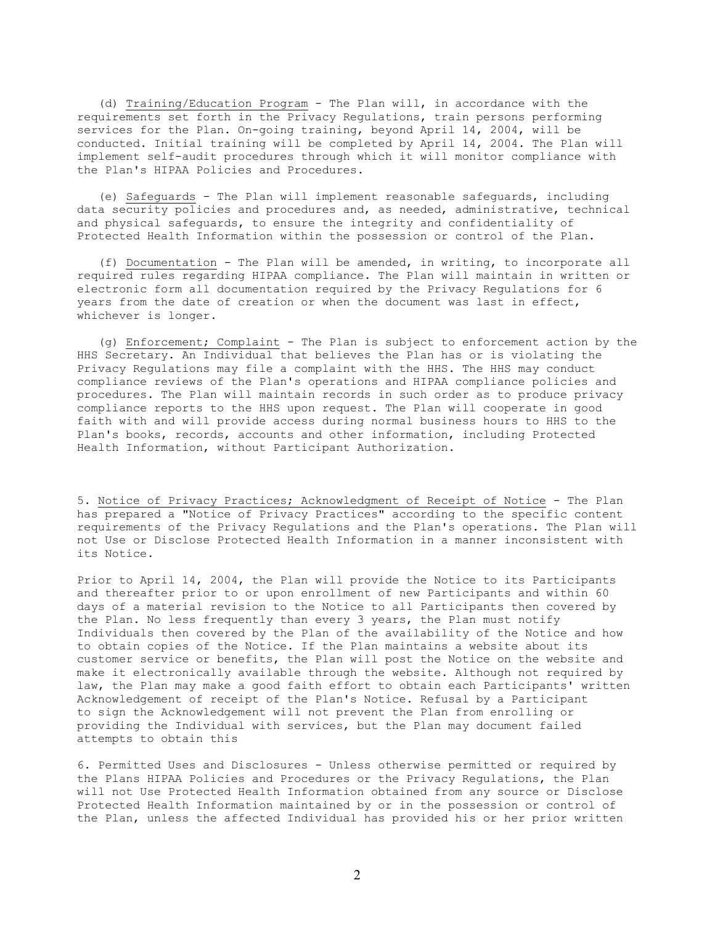(d) Training/Education Program - The Plan will, in accordance with the requirements set forth in the Privacy Regulations, train persons performing services for the Plan. On-going training, beyond April 14, 2004, will be conducted. Initial training will be completed by April 14, 2004. The Plan will implement self-audit procedures through which it will monitor compliance with the Plan's HIPAA Policies and Procedures.

 (e) Safeguards - The Plan will implement reasonable safeguards, including data security policies and procedures and, as needed, administrative, technical and physical safeguards, to ensure the integrity and confidentiality of Protected Health Information within the possession or control of the Plan.

 (f) Documentation - The Plan will be amended, in writing, to incorporate all required rules regarding HIPAA compliance. The Plan will maintain in written or electronic form all documentation required by the Privacy Regulations for 6 years from the date of creation or when the document was last in effect, whichever is longer.

 (g) Enforcement; Complaint - The Plan is subject to enforcement action by the HHS Secretary. An Individual that believes the Plan has or is violating the Privacy Regulations may file a complaint with the HHS. The HHS may conduct compliance reviews of the Plan's operations and HIPAA compliance policies and procedures. The Plan will maintain records in such order as to produce privacy compliance reports to the HHS upon request. The Plan will cooperate in good faith with and will provide access during normal business hours to HHS to the Plan's books, records, accounts and other information, including Protected Health Information, without Participant Authorization.

5. Notice of Privacy Practices; Acknowledgment of Receipt of Notice - The Plan has prepared a "Notice of Privacy Practices" according to the specific content requirements of the Privacy Regulations and the Plan's operations. The Plan will not Use or Disclose Protected Health Information in a manner inconsistent with its Notice.

Prior to April 14, 2004, the Plan will provide the Notice to its Participants and thereafter prior to or upon enrollment of new Participants and within 60 days of a material revision to the Notice to all Participants then covered by the Plan. No less frequently than every 3 years, the Plan must notify Individuals then covered by the Plan of the availability of the Notice and how to obtain copies of the Notice. If the Plan maintains a website about its customer service or benefits, the Plan will post the Notice on the website and make it electronically available through the website. Although not required by law, the Plan may make a good faith effort to obtain each Participants' written Acknowledgement of receipt of the Plan's Notice. Refusal by a Participant to sign the Acknowledgement will not prevent the Plan from enrolling or providing the Individual with services, but the Plan may document failed attempts to obtain this

6. Permitted Uses and Disclosures - Unless otherwise permitted or required by the Plans HIPAA Policies and Procedures or the Privacy Regulations, the Plan will not Use Protected Health Information obtained from any source or Disclose Protected Health Information maintained by or in the possession or control of the Plan, unless the affected Individual has provided his or her prior written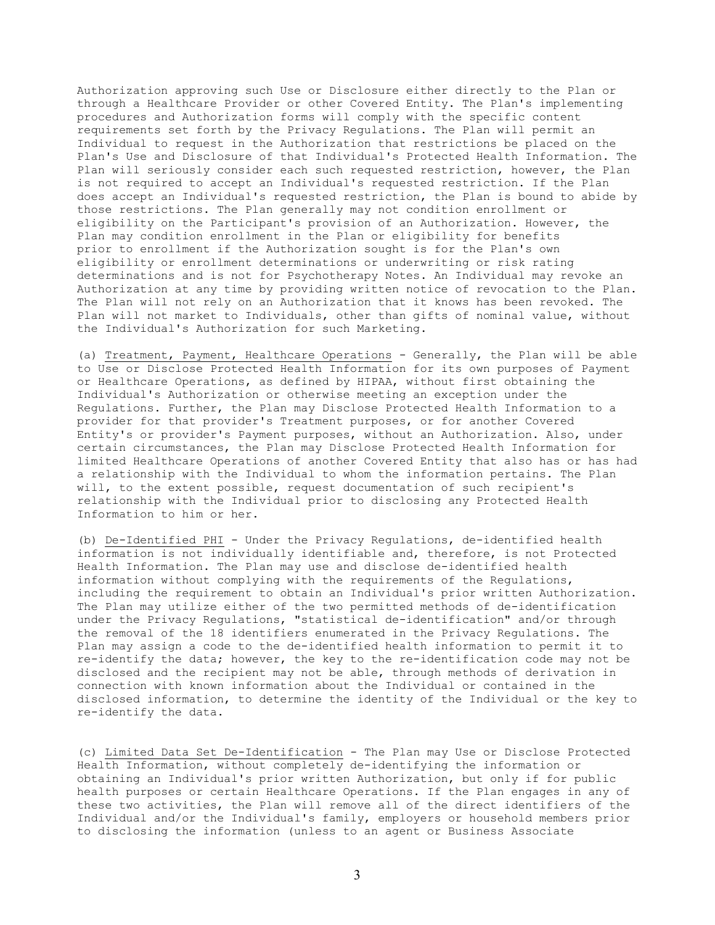Authorization approving such Use or Disclosure either directly to the Plan or through a Healthcare Provider or other Covered Entity. The Plan's implementing procedures and Authorization forms will comply with the specific content requirements set forth by the Privacy Regulations. The Plan will permit an Individual to request in the Authorization that restrictions be placed on the Plan's Use and Disclosure of that Individual's Protected Health Information. The Plan will seriously consider each such requested restriction, however, the Plan is not required to accept an Individual's requested restriction. If the Plan does accept an Individual's requested restriction, the Plan is bound to abide by those restrictions. The Plan generally may not condition enrollment or eligibility on the Participant's provision of an Authorization. However, the Plan may condition enrollment in the Plan or eligibility for benefits prior to enrollment if the Authorization sought is for the Plan's own eligibility or enrollment determinations or underwriting or risk rating determinations and is not for Psychotherapy Notes. An Individual may revoke an Authorization at any time by providing written notice of revocation to the Plan. The Plan will not rely on an Authorization that it knows has been revoked. The Plan will not market to Individuals, other than gifts of nominal value, without the Individual's Authorization for such Marketing.

(a) Treatment, Payment, Healthcare Operations - Generally, the Plan will be able to Use or Disclose Protected Health Information for its own purposes of Payment or Healthcare Operations, as defined by HIPAA, without first obtaining the Individual's Authorization or otherwise meeting an exception under the Regulations. Further, the Plan may Disclose Protected Health Information to a provider for that provider's Treatment purposes, or for another Covered Entity's or provider's Payment purposes, without an Authorization. Also, under certain circumstances, the Plan may Disclose Protected Health Information for limited Healthcare Operations of another Covered Entity that also has or has had a relationship with the Individual to whom the information pertains. The Plan will, to the extent possible, request documentation of such recipient's relationship with the Individual prior to disclosing any Protected Health Information to him or her.

(b) De-Identified PHI - Under the Privacy Regulations, de-identified health information is not individually identifiable and, therefore, is not Protected Health Information. The Plan may use and disclose de-identified health information without complying with the requirements of the Regulations, including the requirement to obtain an Individual's prior written Authorization. The Plan may utilize either of the two permitted methods of de-identification under the Privacy Regulations, "statistical de-identification" and/or through the removal of the 18 identifiers enumerated in the Privacy Regulations. The Plan may assign a code to the de-identified health information to permit it to re-identify the data; however, the key to the re-identification code may not be disclosed and the recipient may not be able, through methods of derivation in connection with known information about the Individual or contained in the disclosed information, to determine the identity of the Individual or the key to re-identify the data.

(c) Limited Data Set De-Identification - The Plan may Use or Disclose Protected Health Information, without completely de-identifying the information or obtaining an Individual's prior written Authorization, but only if for public health purposes or certain Healthcare Operations. If the Plan engages in any of these two activities, the Plan will remove all of the direct identifiers of the Individual and/or the Individual's family, employers or household members prior to disclosing the information (unless to an agent or Business Associate

3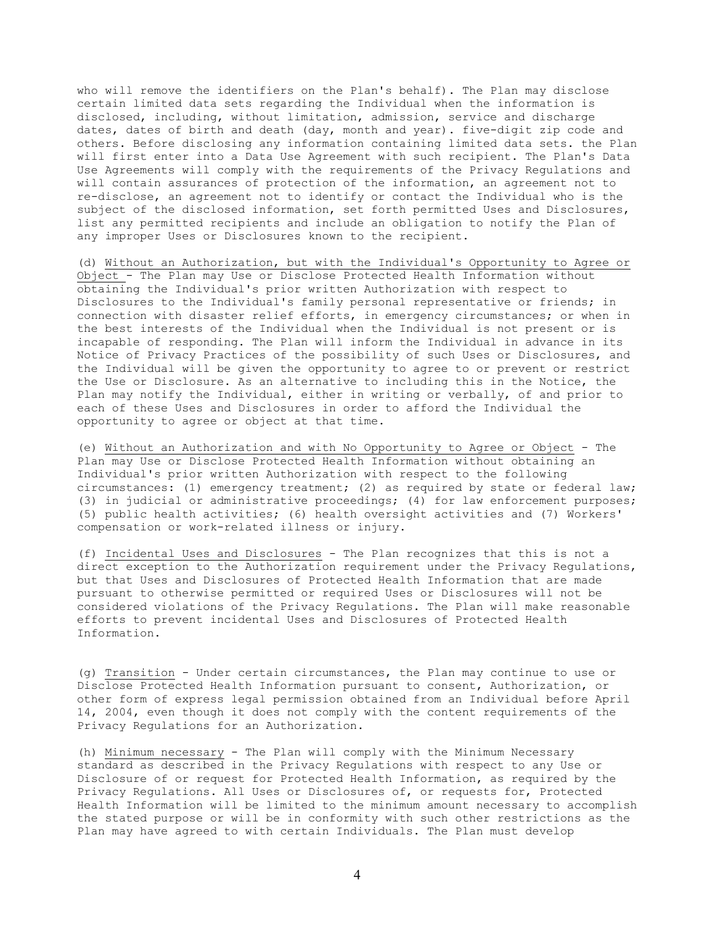who will remove the identifiers on the Plan's behalf). The Plan may disclose certain limited data sets regarding the Individual when the information is disclosed, including, without limitation, admission, service and discharge dates, dates of birth and death (day, month and year). five-digit zip code and others. Before disclosing any information containing limited data sets. the Plan will first enter into a Data Use Agreement with such recipient. The Plan's Data Use Agreements will comply with the requirements of the Privacy Regulations and will contain assurances of protection of the information, an agreement not to re-disclose, an agreement not to identify or contact the Individual who is the subject of the disclosed information, set forth permitted Uses and Disclosures, list any permitted recipients and include an obligation to notify the Plan of any improper Uses or Disclosures known to the recipient.

(d) Without an Authorization, but with the Individual's Opportunity to Agree or Object - The Plan may Use or Disclose Protected Health Information without obtaining the Individual's prior written Authorization with respect to Disclosures to the Individual's family personal representative or friends; in connection with disaster relief efforts, in emergency circumstances; or when in the best interests of the Individual when the Individual is not present or is incapable of responding. The Plan will inform the Individual in advance in its Notice of Privacy Practices of the possibility of such Uses or Disclosures, and the Individual will be given the opportunity to agree to or prevent or restrict the Use or Disclosure. As an alternative to including this in the Notice, the Plan may notify the Individual, either in writing or verbally, of and prior to each of these Uses and Disclosures in order to afford the Individual the opportunity to agree or object at that time.

(e) Without an Authorization and with No Opportunity to Agree or Object - The Plan may Use or Disclose Protected Health Information without obtaining an Individual's prior written Authorization with respect to the following circumstances: (1) emergency treatment; (2) as required by state or federal law; (3) in judicial or administrative proceedings; (4) for law enforcement purposes; (5) public health activities; (6) health oversight activities and (7) Workers' compensation or work-related illness or injury.

(f) Incidental Uses and Disclosures - The Plan recognizes that this is not a direct exception to the Authorization requirement under the Privacy Regulations, but that Uses and Disclosures of Protected Health Information that are made pursuant to otherwise permitted or required Uses or Disclosures will not be considered violations of the Privacy Regulations. The Plan will make reasonable efforts to prevent incidental Uses and Disclosures of Protected Health Information.

(g) Transition - Under certain circumstances, the Plan may continue to use or Disclose Protected Health Information pursuant to consent, Authorization, or other form of express legal permission obtained from an Individual before April 14, 2004, even though it does not comply with the content requirements of the Privacy Regulations for an Authorization.

(h) Minimum necessary - The Plan will comply with the Minimum Necessary standard as described in the Privacy Regulations with respect to any Use or Disclosure of or request for Protected Health Information, as required by the Privacy Regulations. All Uses or Disclosures of, or requests for, Protected Health Information will be limited to the minimum amount necessary to accomplish the stated purpose or will be in conformity with such other restrictions as the Plan may have agreed to with certain Individuals. The Plan must develop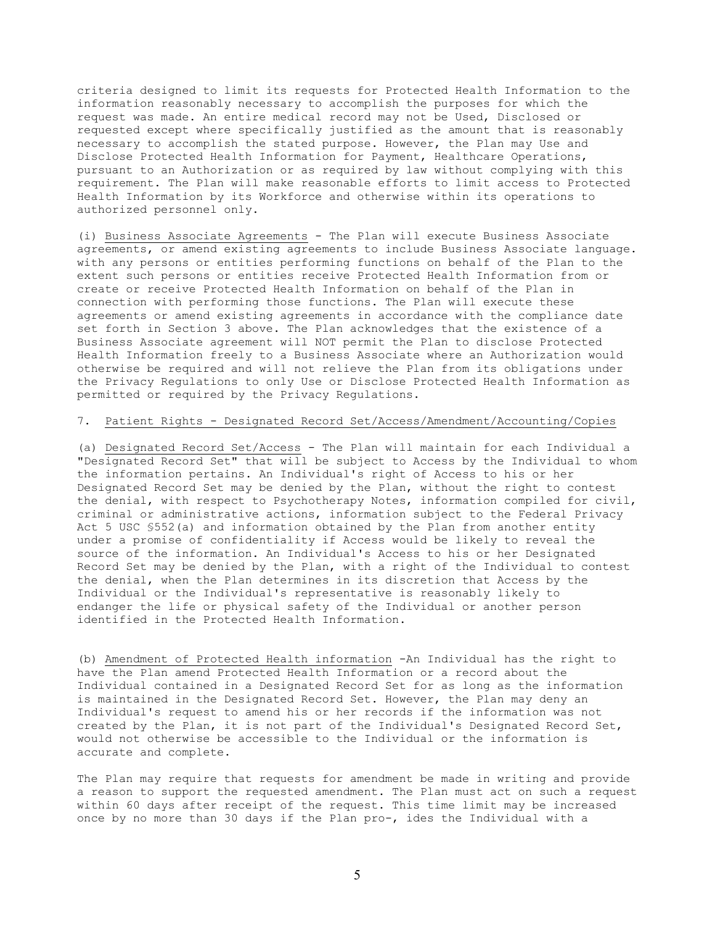criteria designed to limit its requests for Protected Health Information to the information reasonably necessary to accomplish the purposes for which the request was made. An entire medical record may not be Used, Disclosed or requested except where specifically justified as the amount that is reasonably necessary to accomplish the stated purpose. However, the Plan may Use and Disclose Protected Health Information for Payment, Healthcare Operations, pursuant to an Authorization or as required by law without complying with this requirement. The Plan will make reasonable efforts to limit access to Protected Health Information by its Workforce and otherwise within its operations to authorized personnel only.

(i) Business Associate Agreements - The Plan will execute Business Associate agreements, or amend existing agreements to include Business Associate language. with any persons or entities performing functions on behalf of the Plan to the extent such persons or entities receive Protected Health Information from or create or receive Protected Health Information on behalf of the Plan in connection with performing those functions. The Plan will execute these agreements or amend existing agreements in accordance with the compliance date set forth in Section 3 above. The Plan acknowledges that the existence of a Business Associate agreement will NOT permit the Plan to disclose Protected Health Information freely to a Business Associate where an Authorization would otherwise be required and will not relieve the Plan from its obligations under the Privacy Regulations to only Use or Disclose Protected Health Information as permitted or required by the Privacy Regulations.

## 7. Patient Rights - Designated Record Set/Access/Amendment/Accounting/Copies

(a) Designated Record Set/Access - The Plan will maintain for each Individual a "Designated Record Set" that will be subject to Access by the Individual to whom the information pertains. An Individual's right of Access to his or her Designated Record Set may be denied by the Plan, without the right to contest the denial, with respect to Psychotherapy Notes, information compiled for civil, criminal or administrative actions, information subject to the Federal Privacy Act 5 USC §552(a) and information obtained by the Plan from another entity under a promise of confidentiality if Access would be likely to reveal the source of the information. An Individual's Access to his or her Designated Record Set may be denied by the Plan, with a right of the Individual to contest the denial, when the Plan determines in its discretion that Access by the Individual or the Individual's representative is reasonably likely to endanger the life or physical safety of the Individual or another person identified in the Protected Health Information.

(b) Amendment of Protected Health information -An Individual has the right to have the Plan amend Protected Health Information or a record about the Individual contained in a Designated Record Set for as long as the information is maintained in the Designated Record Set. However, the Plan may deny an Individual's request to amend his or her records if the information was not created by the Plan, it is not part of the Individual's Designated Record Set, would not otherwise be accessible to the Individual or the information is accurate and complete.

The Plan may require that requests for amendment be made in writing and provide a reason to support the requested amendment. The Plan must act on such a request within 60 days after receipt of the request. This time limit may be increased once by no more than 30 days if the Plan pro-, ides the Individual with a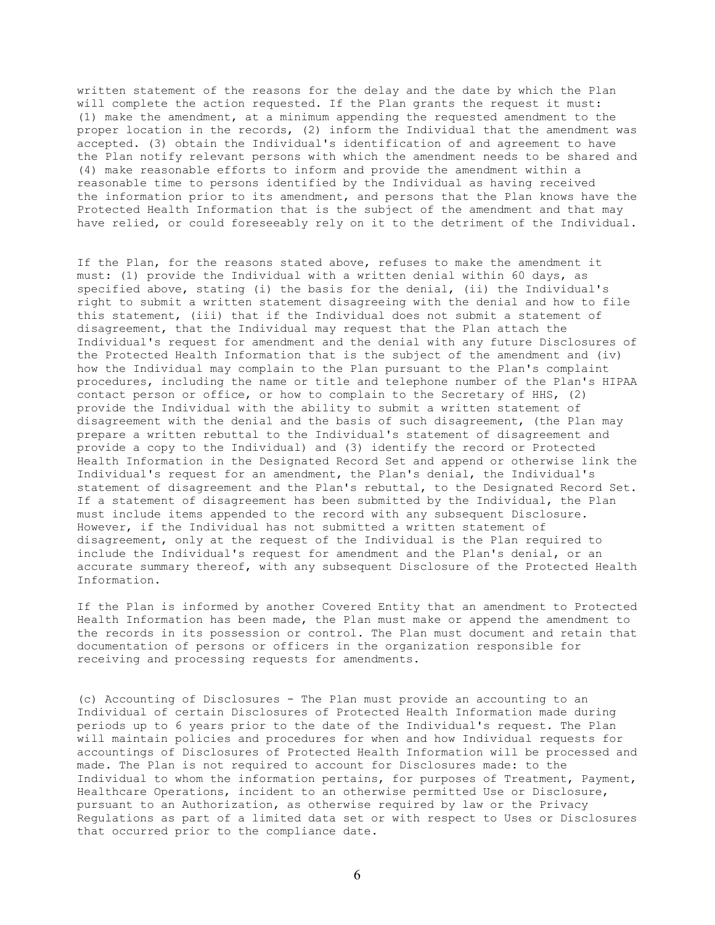written statement of the reasons for the delay and the date by which the Plan will complete the action requested. If the Plan grants the request it must: (1) make the amendment, at a minimum appending the requested amendment to the proper location in the records, (2) inform the Individual that the amendment was accepted. (3) obtain the Individual's identification of and agreement to have the Plan notify relevant persons with which the amendment needs to be shared and (4) make reasonable efforts to inform and provide the amendment within a reasonable time to persons identified by the Individual as having received the information prior to its amendment, and persons that the Plan knows have the Protected Health Information that is the subject of the amendment and that may have relied, or could foreseeably rely on it to the detriment of the Individual.

If the Plan, for the reasons stated above, refuses to make the amendment it must: (1) provide the Individual with a written denial within 60 days, as specified above, stating (i) the basis for the denial, (ii) the Individual's right to submit a written statement disagreeing with the denial and how to file this statement, (iii) that if the Individual does not submit a statement of disagreement, that the Individual may request that the Plan attach the Individual's request for amendment and the denial with any future Disclosures of the Protected Health Information that is the subject of the amendment and (iv) how the Individual may complain to the Plan pursuant to the Plan's complaint procedures, including the name or title and telephone number of the Plan's HIPAA contact person or office, or how to complain to the Secretary of HHS, (2) provide the Individual with the ability to submit a written statement of disagreement with the denial and the basis of such disagreement, (the Plan may prepare a written rebuttal to the Individual's statement of disagreement and provide a copy to the Individual) and (3) identify the record or Protected Health Information in the Designated Record Set and append or otherwise link the Individual's request for an amendment, the Plan's denial, the Individual's statement of disagreement and the Plan's rebuttal, to the Designated Record Set. If a statement of disagreement has been submitted by the Individual, the Plan must include items appended to the record with any subsequent Disclosure. However, if the Individual has not submitted a written statement of disagreement, only at the request of the Individual is the Plan required to include the Individual's request for amendment and the Plan's denial, or an accurate summary thereof, with any subsequent Disclosure of the Protected Health Information.

If the Plan is informed by another Covered Entity that an amendment to Protected Health Information has been made, the Plan must make or append the amendment to the records in its possession or control. The Plan must document and retain that documentation of persons or officers in the organization responsible for receiving and processing requests for amendments.

(c) Accounting of Disclosures - The Plan must provide an accounting to an Individual of certain Disclosures of Protected Health Information made during periods up to 6 years prior to the date of the Individual's request. The Plan will maintain policies and procedures for when and how Individual requests for accountings of Disclosures of Protected Health Information will be processed and made. The Plan is not required to account for Disclosures made: to the Individual to whom the information pertains, for purposes of Treatment, Payment, Healthcare Operations, incident to an otherwise permitted Use or Disclosure, pursuant to an Authorization, as otherwise required by law or the Privacy Regulations as part of a limited data set or with respect to Uses or Disclosures that occurred prior to the compliance date.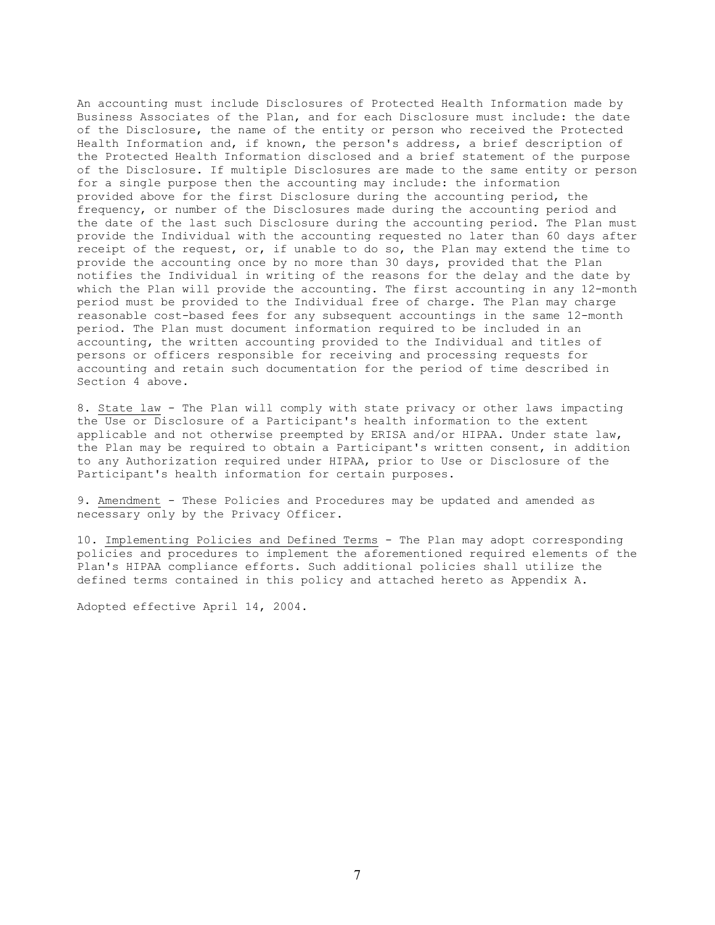An accounting must include Disclosures of Protected Health Information made by Business Associates of the Plan, and for each Disclosure must include: the date of the Disclosure, the name of the entity or person who received the Protected Health Information and, if known, the person's address, a brief description of the Protected Health Information disclosed and a brief statement of the purpose of the Disclosure. If multiple Disclosures are made to the same entity or person for a single purpose then the accounting may include: the information provided above for the first Disclosure during the accounting period, the frequency, or number of the Disclosures made during the accounting period and the date of the last such Disclosure during the accounting period. The Plan must provide the Individual with the accounting requested no later than 60 days after receipt of the request, or, if unable to do so, the Plan may extend the time to provide the accounting once by no more than 30 days, provided that the Plan notifies the Individual in writing of the reasons for the delay and the date by which the Plan will provide the accounting. The first accounting in any 12-month period must be provided to the Individual free of charge. The Plan may charge reasonable cost-based fees for any subsequent accountings in the same 12-month period. The Plan must document information required to be included in an accounting, the written accounting provided to the Individual and titles of persons or officers responsible for receiving and processing requests for accounting and retain such documentation for the period of time described in Section 4 above.

8. State law - The Plan will comply with state privacy or other laws impacting the Use or Disclosure of a Participant's health information to the extent applicable and not otherwise preempted by ERISA and/or HIPAA. Under state law, the Plan may be required to obtain a Participant's written consent, in addition to any Authorization required under HIPAA, prior to Use or Disclosure of the Participant's health information for certain purposes.

9. Amendment - These Policies and Procedures may be updated and amended as necessary only by the Privacy Officer.

10. Implementing Policies and Defined Terms - The Plan may adopt corresponding policies and procedures to implement the aforementioned required elements of the Plan's HIPAA compliance efforts. Such additional policies shall utilize the defined terms contained in this policy and attached hereto as Appendix A.

Adopted effective April 14, 2004.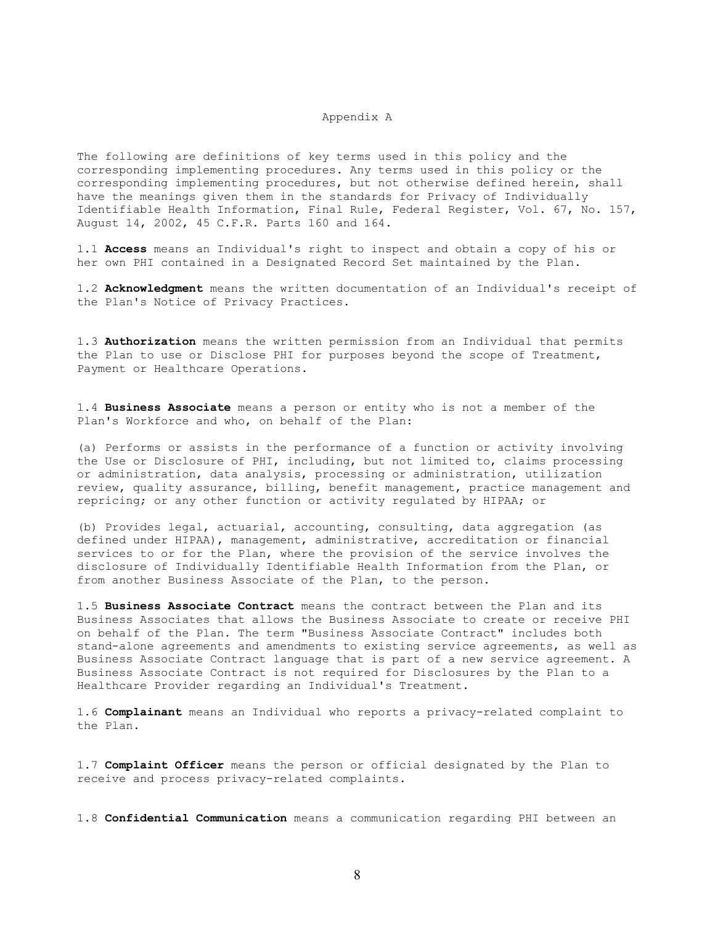## Appendix A

The following are definitions of key terms used in this policy and the corresponding implementing procedures. Any terms used in this policy or the corresponding implementing procedures, but not otherwise defined herein, shall have the meanings given them in the standards for Privacy of Individually Identifiable Health Information, Final Rule, Federal Register, Vol. 67, No. 157, August 14, 2002, 45 C.F.R. Parts 160 and 164.

1.1 **Access** means an Individual's right to inspect and obtain a copy of his or her own PHI contained in a Designated Record Set maintained by the Plan.

1.2 **Acknowledgment** means the written documentation of an Individual's receipt of the Plan's Notice of Privacy Practices.

1.3 **Authorization** means the written permission from an Individual that permits the Plan to use or Disclose PHI for purposes beyond the scope of Treatment, Payment or Healthcare Operations.

1.4 **Business Associate** means a person or entity who is not a member of the Plan's Workforce and who, on behalf of the Plan:

(a) Performs or assists in the performance of a function or activity involving the Use or Disclosure of PHI, including, but not limited to, claims processing or administration, data analysis, processing or administration, utilization review, quality assurance, billing, benefit management, practice management and repricing; or any other function or activity regulated by HIPAA; or

(b) Provides legal, actuarial, accounting, consulting, data aggregation (as defined under HIPAA), management, administrative, accreditation or financial services to or for the Plan, where the provision of the service involves the disclosure of Individually Identifiable Health Information from the Plan, or from another Business Associate of the Plan, to the person.

1.5 **Business Associate Contract** means the contract between the Plan and its Business Associates that allows the Business Associate to create or receive PHI on behalf of the Plan. The term "Business Associate Contract" includes both stand-alone agreements and amendments to existing service agreements, as well as Business Associate Contract language that is part of a new service agreement. A Business Associate Contract is not required for Disclosures by the Plan to a Healthcare Provider regarding an Individual's Treatment.

1.6 **Complainant** means an Individual who reports a privacy-related complaint to the Plan.

1.7 **Complaint Officer** means the person or official designated by the Plan to receive and process privacy-related complaints.

1.8 **Confidential Communication** means a communication regarding PHI between an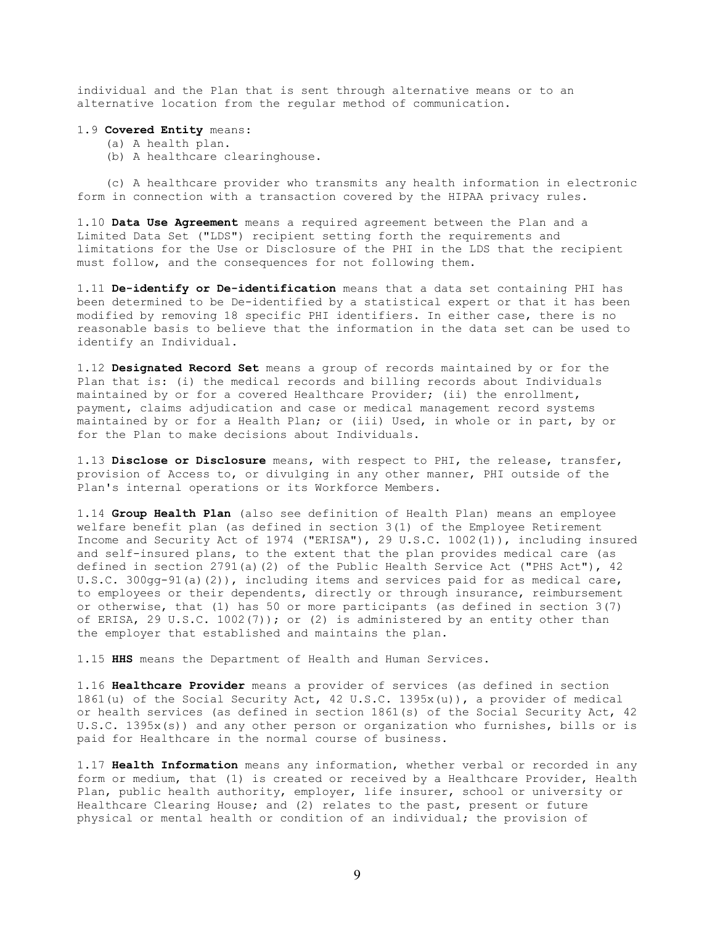individual and the Plan that is sent through alternative means or to an alternative location from the regular method of communication.

# 1.9 **Covered Entity** means:

- (a) A health plan.
- (b) A healthcare clearinghouse.

 (c) A healthcare provider who transmits any health information in electronic form in connection with a transaction covered by the HIPAA privacy rules.

1.10 **Data Use Agreement** means a required agreement between the Plan and a Limited Data Set ("LDS") recipient setting forth the requirements and limitations for the Use or Disclosure of the PHI in the LDS that the recipient must follow, and the consequences for not following them.

1.11 **De-identify or De-identification** means that a data set containing PHI has been determined to be De-identified by a statistical expert or that it has been modified by removing 18 specific PHI identifiers. In either case, there is no reasonable basis to believe that the information in the data set can be used to identify an Individual.

1.12 **Designated Record Set** means a group of records maintained by or for the Plan that is: (i) the medical records and billing records about Individuals maintained by or for a covered Healthcare Provider; (ii) the enrollment, payment, claims adjudication and case or medical management record systems maintained by or for a Health Plan; or (iii) Used, in whole or in part, by or for the Plan to make decisions about Individuals.

1.13 **Disclose or Disclosure** means, with respect to PHI, the release, transfer, provision of Access to, or divulging in any other manner, PHI outside of the Plan's internal operations or its Workforce Members.

1.14 **Group Health Plan** (also see definition of Health Plan) means an employee welfare benefit plan (as defined in section 3(1) of the Employee Retirement Income and Security Act of 1974 ("ERISA"), 29 U.S.C. 1002(1)), including insured and self-insured plans, to the extent that the plan provides medical care (as defined in section 2791(a)(2) of the Public Health Service Act ("PHS Act"), 42 U.S.C. 300gg-91(a)(2)), including items and services paid for as medical care, to employees or their dependents, directly or through insurance, reimbursement or otherwise, that (1) has 50 or more participants (as defined in section  $3(7)$ of ERISA, 29 U.S.C. 1002(7)); or (2) is administered by an entity other than the employer that established and maintains the plan.

1.15 **HHS** means the Department of Health and Human Services.

1.16 **Healthcare Provider** means a provider of services (as defined in section 1861(u) of the Social Security Act, 42 U.S.C. 1395x(u)), a provider of medical or health services (as defined in section 1861(s) of the Social Security Act, 42 U.S.C. 1395x(s)) and any other person or organization who furnishes, bills or is paid for Healthcare in the normal course of business.

1.17 **Health Information** means any information, whether verbal or recorded in any form or medium, that (1) is created or received by a Healthcare Provider, Health Plan, public health authority, employer, life insurer, school or university or Healthcare Clearing House; and (2) relates to the past, present or future physical or mental health or condition of an individual; the provision of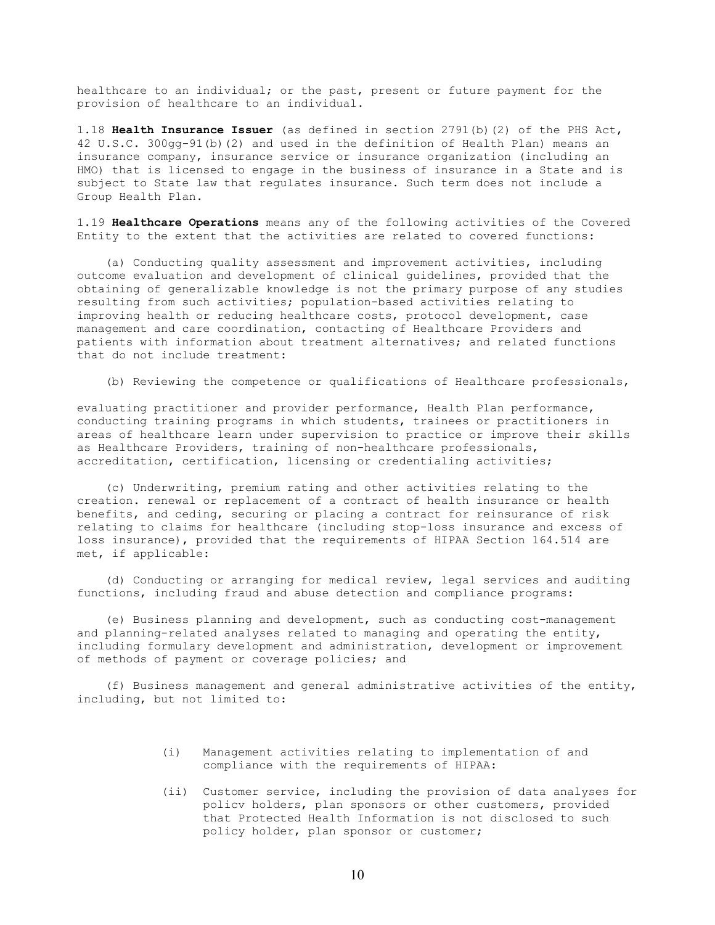healthcare to an individual; or the past, present or future payment for the provision of healthcare to an individual.

1.18 **Health Insurance Issuer** (as defined in section 2791(b)(2) of the PHS Act, 42 U.S.C. 300gg-91(b)(2) and used in the definition of Health Plan) means an insurance company, insurance service or insurance organization (including an HMO) that is licensed to engage in the business of insurance in a State and is subject to State law that regulates insurance. Such term does not include a Group Health Plan.

1.19 **Healthcare Operations** means any of the following activities of the Covered Entity to the extent that the activities are related to covered functions:

 (a) Conducting quality assessment and improvement activities, including outcome evaluation and development of clinical guidelines, provided that the obtaining of generalizable knowledge is not the primary purpose of any studies resulting from such activities; population-based activities relating to improving health or reducing healthcare costs, protocol development, case management and care coordination, contacting of Healthcare Providers and patients with information about treatment alternatives; and related functions that do not include treatment:

(b) Reviewing the competence or qualifications of Healthcare professionals,

evaluating practitioner and provider performance, Health Plan performance, conducting training programs in which students, trainees or practitioners in areas of healthcare learn under supervision to practice or improve their skills as Healthcare Providers, training of non-healthcare professionals, accreditation, certification, licensing or credentialing activities;

 (c) Underwriting, premium rating and other activities relating to the creation. renewal or replacement of a contract of health insurance or health benefits, and ceding, securing or placing a contract for reinsurance of risk relating to claims for healthcare (including stop-loss insurance and excess of loss insurance), provided that the requirements of HIPAA Section 164.514 are met, if applicable:

 (d) Conducting or arranging for medical review, legal services and auditing functions, including fraud and abuse detection and compliance programs:

 (e) Business planning and development, such as conducting cost-management and planning-related analyses related to managing and operating the entity, including formulary development and administration, development or improvement of methods of payment or coverage policies; and

 (f) Business management and general administrative activities of the entity, including, but not limited to:

- (i) Management activities relating to implementation of and compliance with the requirements of HIPAA:
- (ii) Customer service, including the provision of data analyses for policv holders, plan sponsors or other customers, provided that Protected Health Information is not disclosed to such policy holder, plan sponsor or customer;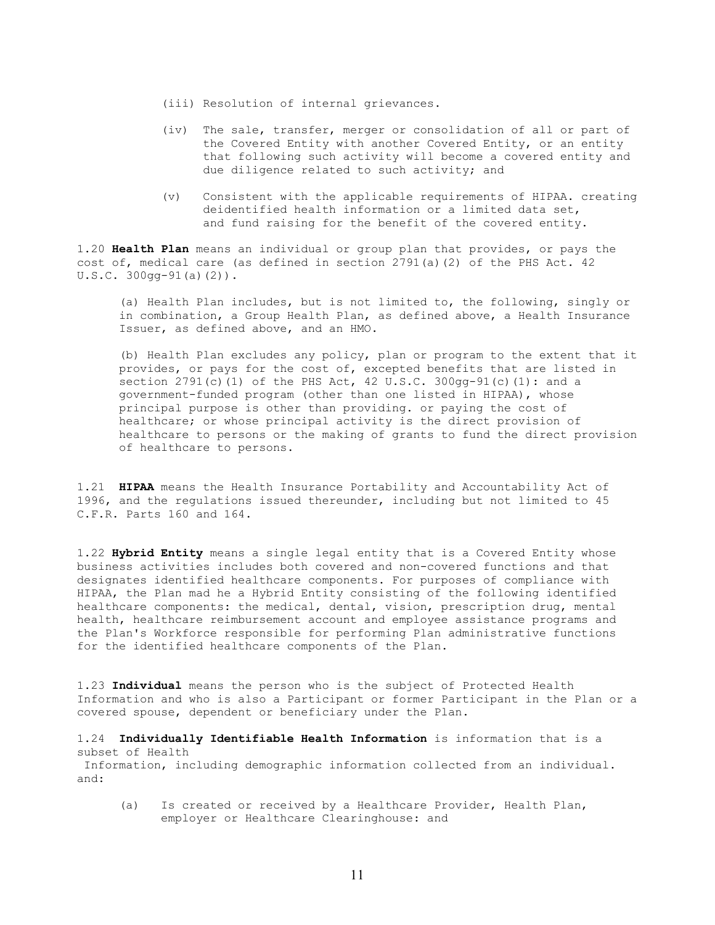- (iii) Resolution of internal grievances.
- (iv) The sale, transfer, merger or consolidation of all or part of the Covered Entity with another Covered Entity, or an entity that following such activity will become a covered entity and due diligence related to such activity; and
- (v) Consistent with the applicable requirements of HIPAA. creating deidentified health information or a limited data set, and fund raising for the benefit of the covered entity.

1.20 **Health Plan** means an individual or group plan that provides, or pays the cost of, medical care (as defined in section 2791(a)(2) of the PHS Act. 42 U.S.C. 300gg-91(a)(2)).

(a) Health Plan includes, but is not limited to, the following, singly or in combination, a Group Health Plan, as defined above, a Health Insurance Issuer, as defined above, and an HMO.

(b) Health Plan excludes any policy, plan or program to the extent that it provides, or pays for the cost of, excepted benefits that are listed in section 2791(c)(1) of the PHS Act, 42 U.S.C. 300gg-91(c)(1): and a government-funded program (other than one listed in HIPAA), whose principal purpose is other than providing. or paying the cost of healthcare; or whose principal activity is the direct provision of healthcare to persons or the making of grants to fund the direct provision of healthcare to persons.

1.21 **HIPAA** means the Health Insurance Portability and Accountability Act of 1996, and the regulations issued thereunder, including but not limited to 45 C.F.R. Parts 160 and 164.

1.22 **Hybrid Entity** means a single legal entity that is a Covered Entity whose business activities includes both covered and non-covered functions and that designates identified healthcare components. For purposes of compliance with HIPAA, the Plan mad he a Hybrid Entity consisting of the following identified healthcare components: the medical, dental, vision, prescription drug, mental health, healthcare reimbursement account and employee assistance programs and the Plan's Workforce responsible for performing Plan administrative functions for the identified healthcare components of the Plan.

1.23 **Individual** means the person who is the subject of Protected Health Information and who is also a Participant or former Participant in the Plan or a covered spouse, dependent or beneficiary under the Plan.

1.24 **Individually Identifiable Health Information** is information that is a subset of Health

 Information, including demographic information collected from an individual. and:

 (a) Is created or received by a Healthcare Provider, Health Plan, employer or Healthcare Clearinghouse: and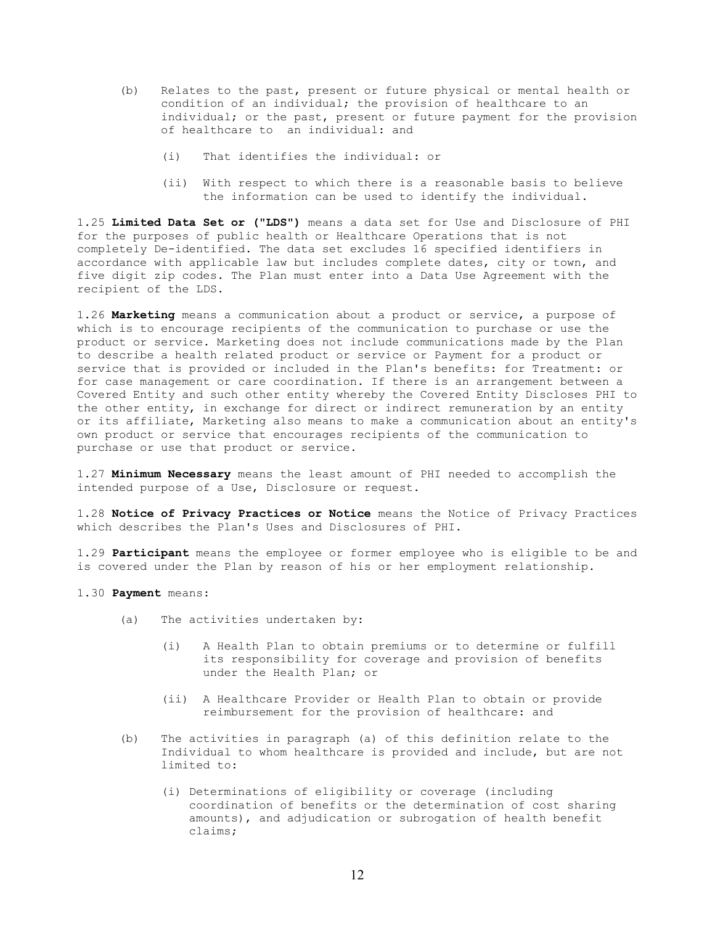- (b) Relates to the past, present or future physical or mental health or condition of an individual; the provision of healthcare to an individual; or the past, present or future payment for the provision of healthcare to an individual: and
	- (i) That identifies the individual: or
	- (ii) With respect to which there is a reasonable basis to believe the information can be used to identify the individual.

1.25 **Limited Data Set or ("LDS")** means a data set for Use and Disclosure of PHI for the purposes of public health or Healthcare Operations that is not completely De-identified. The data set excludes 16 specified identifiers in accordance with applicable law but includes complete dates, city or town, and five digit zip codes. The Plan must enter into a Data Use Agreement with the recipient of the LDS.

1.26 **Marketing** means a communication about a product or service, a purpose of which is to encourage recipients of the communication to purchase or use the product or service. Marketing does not include communications made by the Plan to describe a health related product or service or Payment for a product or service that is provided or included in the Plan's benefits: for Treatment: or for case management or care coordination. If there is an arrangement between a Covered Entity and such other entity whereby the Covered Entity Discloses PHI to the other entity, in exchange for direct or indirect remuneration by an entity or its affiliate, Marketing also means to make a communication about an entity's own product or service that encourages recipients of the communication to purchase or use that product or service.

1.27 **Minimum Necessary** means the least amount of PHI needed to accomplish the intended purpose of a Use, Disclosure or request.

1.28 **Notice of Privacy Practices or Notice** means the Notice of Privacy Practices which describes the Plan's Uses and Disclosures of PHI.

1.29 **Participant** means the employee or former employee who is eligible to be and is covered under the Plan by reason of his or her employment relationship.

## 1.30 **Payment** means:

- (a) The activities undertaken by:
	- (i) A Health Plan to obtain premiums or to determine or fulfill its responsibility for coverage and provision of benefits under the Health Plan; or
	- (ii) A Healthcare Provider or Health Plan to obtain or provide reimbursement for the provision of healthcare: and
- (b) The activities in paragraph (a) of this definition relate to the Individual to whom healthcare is provided and include, but are not limited to:
	- (i) Determinations of eligibility or coverage (including coordination of benefits or the determination of cost sharing amounts), and adjudication or subrogation of health benefit claims;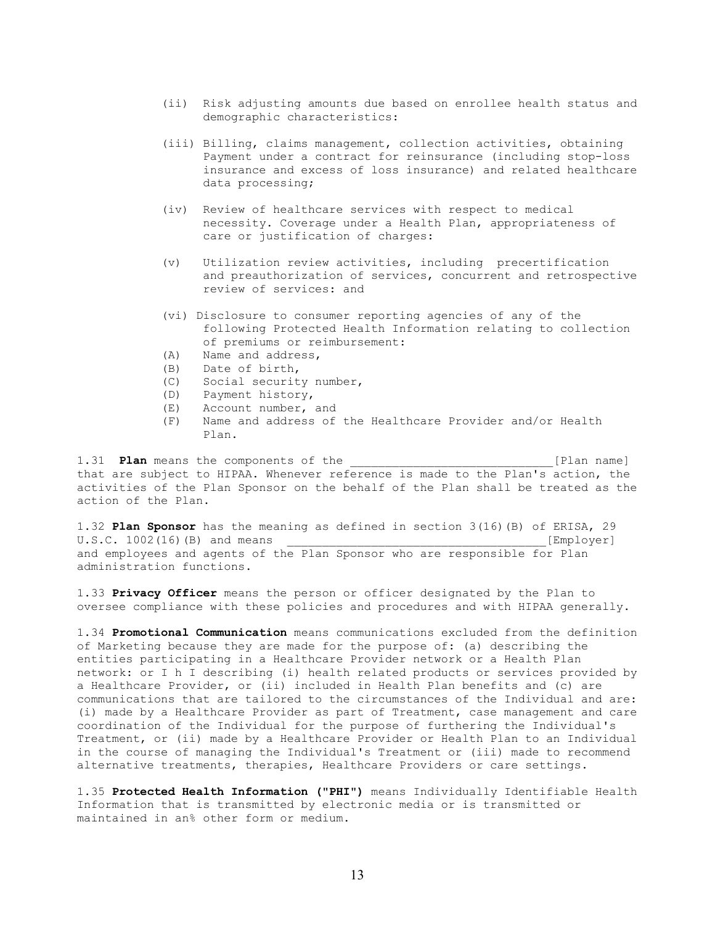- (ii) Risk adjusting amounts due based on enrollee health status and demographic characteristics:
- (iii) Billing, claims management, collection activities, obtaining Payment under a contract for reinsurance (including stop-loss insurance and excess of loss insurance) and related healthcare data processing;
- (iv) Review of healthcare services with respect to medical necessity. Coverage under a Health Plan, appropriateness of care or justification of charges:
- (v) Utilization review activities, including precertification and preauthorization of services, concurrent and retrospective review of services: and
- (vi) Disclosure to consumer reporting agencies of any of the following Protected Health Information relating to collection of premiums or reimbursement:
- (A) Name and address,
- (B) Date of birth,
- (C) Social security number,
- (D) Payment history,
- (E) Account number, and
- (F) Name and address of the Healthcare Provider and/or Health Plan.

1.31 **Plan** means the components of the **Example 2018** [Plan name] that are subject to HIPAA. Whenever reference is made to the Plan's action, the activities of the Plan Sponsor on the behalf of the Plan shall be treated as the action of the Plan.

1.32 **Plan Sponsor** has the meaning as defined in section 3(16)(B) of ERISA, 29 U.S.C. 1002(16)(B) and means \_\_\_\_\_\_\_\_\_\_\_\_\_\_\_\_\_\_\_\_\_\_\_\_\_\_\_\_\_\_\_\_\_\_\_\_\_[Employer] and employees and agents of the Plan Sponsor who are responsible for Plan administration functions.

1.33 **Privacy Officer** means the person or officer designated by the Plan to oversee compliance with these policies and procedures and with HIPAA generally.

1.34 **Promotional Communication** means communications excluded from the definition of Marketing because they are made for the purpose of: (a) describing the entities participating in a Healthcare Provider network or a Health Plan network: or I h I describing (i) health related products or services provided by a Healthcare Provider, or (ii) included in Health Plan benefits and (c) are communications that are tailored to the circumstances of the Individual and are: (i) made by a Healthcare Provider as part of Treatment, case management and care coordination of the Individual for the purpose of furthering the Individual's Treatment, or (ii) made by a Healthcare Provider or Health Plan to an Individual in the course of managing the Individual's Treatment or (iii) made to recommend alternative treatments, therapies, Healthcare Providers or care settings.

1.35 **Protected Health Information ("PHI")** means Individually Identifiable Health Information that is transmitted by electronic media or is transmitted or maintained in an% other form or medium.